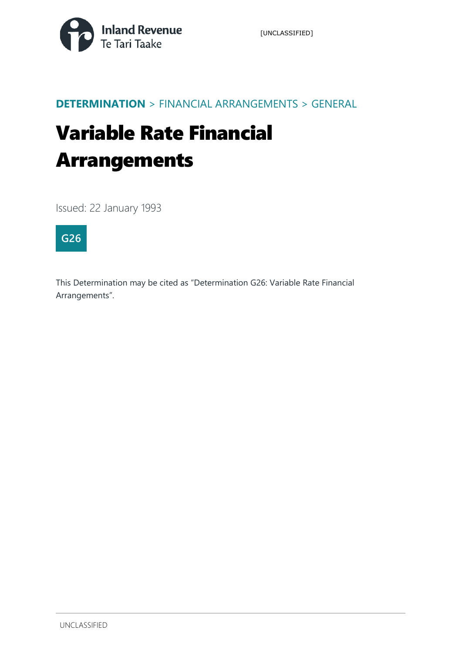

## **DETERMINATION** > FINANCIAL ARRANGEMENTS > GENERAL

# Variable Rate Financial Arrangements

Issued: 22 January 1993



This Determination may be cited as "Determination G26: Variable Rate Financial Arrangements".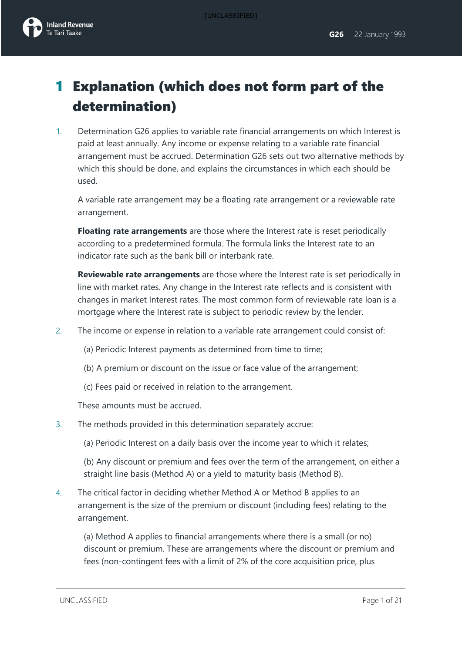

# 1 Explanation (which does not form part of the determination)

1. Determination G26 applies to variable rate financial arrangements on which Interest is paid at least annually. Any income or expense relating to a variable rate financial arrangement must be accrued. Determination G26 sets out two alternative methods by which this should be done, and explains the circumstances in which each should be used.

A variable rate arrangement may be a floating rate arrangement or a reviewable rate arrangement.

**Floating rate arrangements** are those where the Interest rate is reset periodically according to a predetermined formula. The formula links the Interest rate to an indicator rate such as the bank bill or interbank rate.

**Reviewable rate arrangements** are those where the Interest rate is set periodically in line with market rates. Any change in the Interest rate reflects and is consistent with changes in market Interest rates. The most common form of reviewable rate loan is a mortgage where the Interest rate is subject to periodic review by the lender.

- 2. The income or expense in relation to a variable rate arrangement could consist of:
	- (a) Periodic Interest payments as determined from time to time;
	- (b) A premium or discount on the issue or face value of the arrangement;
	- (c) Fees paid or received in relation to the arrangement.

These amounts must be accrued.

- 3. The methods provided in this determination separately accrue:
	- (a) Periodic Interest on a daily basis over the income year to which it relates;

(b) Any discount or premium and fees over the term of the arrangement, on either a straight line basis (Method A) or a yield to maturity basis (Method B).

4. The critical factor in deciding whether Method A or Method B applies to an arrangement is the size of the premium or discount (including fees) relating to the arrangement.

(a) Method A applies to financial arrangements where there is a small (or no) discount or premium. These are arrangements where the discount or premium and fees (non-contingent fees with a limit of 2% of the core acquisition price, plus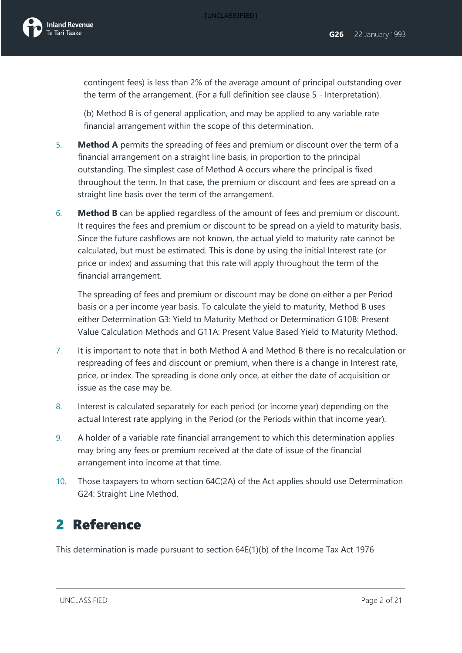

contingent fees) is less than 2% of the average amount of principal outstanding over the term of the arrangement. (For a full definition see clause 5 - Interpretation).

(b) Method B is of general application, and may be applied to any variable rate financial arrangement within the scope of this determination.

- 5. **Method A** permits the spreading of fees and premium or discount over the term of a financial arrangement on a straight line basis, in proportion to the principal outstanding. The simplest case of Method A occurs where the principal is fixed throughout the term. In that case, the premium or discount and fees are spread on a straight line basis over the term of the arrangement.
- 6. **Method B** can be applied regardless of the amount of fees and premium or discount. It requires the fees and premium or discount to be spread on a yield to maturity basis. Since the future cashflows are not known, the actual yield to maturity rate cannot be calculated, but must be estimated. This is done by using the initial Interest rate (or price or index) and assuming that this rate will apply throughout the term of the financial arrangement.

The spreading of fees and premium or discount may be done on either a per Period basis or a per income year basis. To calculate the yield to maturity, Method B uses either Determination G3: Yield to Maturity Method or Determination G10B: Present Value Calculation Methods and G11A: Present Value Based Yield to Maturity Method.

- 7. It is important to note that in both Method A and Method B there is no recalculation or respreading of fees and discount or premium, when there is a change in Interest rate, price, or index. The spreading is done only once, at either the date of acquisition or issue as the case may be.
- 8. Interest is calculated separately for each period (or income year) depending on the actual Interest rate applying in the Period (or the Periods within that income year).
- 9. A holder of a variable rate financial arrangement to which this determination applies may bring any fees or premium received at the date of issue of the financial arrangement into income at that time.
- 10. Those taxpayers to whom section 64C(2A) of the Act applies should use Determination G24: Straight Line Method.

# 2 Reference

This determination is made pursuant to section 64E(1)(b) of the Income Tax Act 1976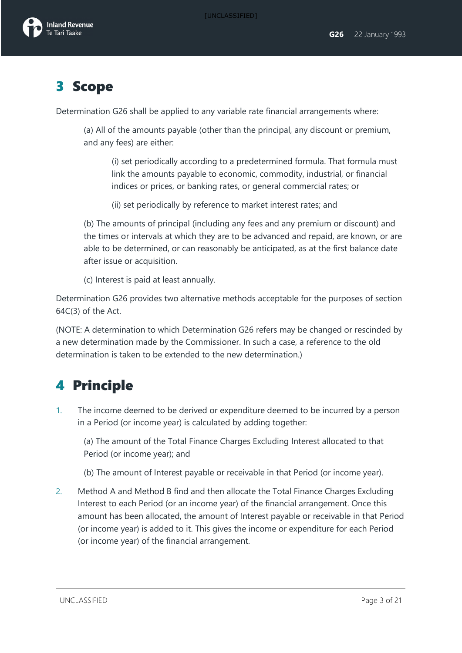

# 3 Scope

Determination G26 shall be applied to any variable rate financial arrangements where:

(a) All of the amounts payable (other than the principal, any discount or premium, and any fees) are either:

(i) set periodically according to a predetermined formula. That formula must link the amounts payable to economic, commodity, industrial, or financial indices or prices, or banking rates, or general commercial rates; or

(ii) set periodically by reference to market interest rates; and

(b) The amounts of principal (including any fees and any premium or discount) and the times or intervals at which they are to be advanced and repaid, are known, or are able to be determined, or can reasonably be anticipated, as at the first balance date after issue or acquisition.

(c) Interest is paid at least annually.

Determination G26 provides two alternative methods acceptable for the purposes of section 64C(3) of the Act.

(NOTE: A determination to which Determination G26 refers may be changed or rescinded by a new determination made by the Commissioner. In such a case, a reference to the old determination is taken to be extended to the new determination.)

# 4 Principle

1. The income deemed to be derived or expenditure deemed to be incurred by a person in a Period (or income year) is calculated by adding together:

(a) The amount of the Total Finance Charges Excluding Interest allocated to that Period (or income year); and

- (b) The amount of Interest payable or receivable in that Period (or income year).
- 2. Method A and Method B find and then allocate the Total Finance Charges Excluding Interest to each Period (or an income year) of the financial arrangement. Once this amount has been allocated, the amount of Interest payable or receivable in that Period (or income year) is added to it. This gives the income or expenditure for each Period (or income year) of the financial arrangement.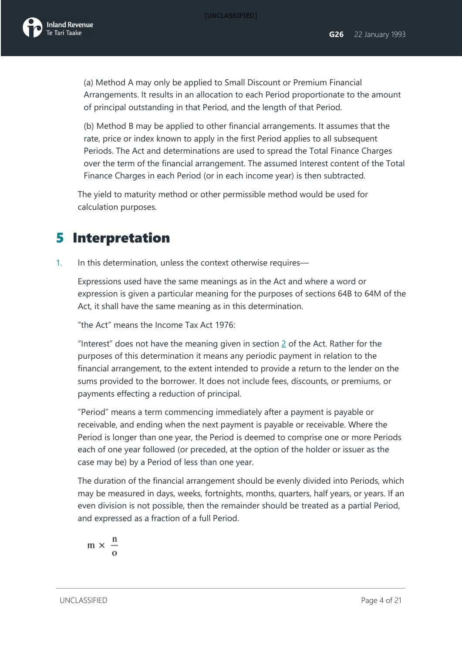

(a) Method A may only be applied to Small Discount or Premium Financial Arrangements. It results in an allocation to each Period proportionate to the amount of principal outstanding in that Period, and the length of that Period.

(b) Method B may be applied to other financial arrangements. It assumes that the rate, price or index known to apply in the first Period applies to all subsequent Periods. The Act and determinations are used to spread the Total Finance Charges over the term of the financial arrangement. The assumed Interest content of the Total Finance Charges in each Period (or in each income year) is then subtracted.

The yield to maturity method or other permissible method would be used for calculation purposes.

# 5 Interpretation

1. In this determination, unless the context otherwise requires—

Expressions used have the same meanings as in the Act and where a word or expression is given a particular meaning for the purposes of sections 64B to 64M of the Act, it shall have the same meaning as in this determination.

"the Act" means the Income Tax Act 1976:

"Interest" does not have the meaning given in section [2](javascript:void(0)) of the Act. Rather for the purposes of this determination it means any periodic payment in relation to the financial arrangement, to the extent intended to provide a return to the lender on the sums provided to the borrower. It does not include fees, discounts, or premiums, or payments effecting a reduction of principal.

"Period" means a term commencing immediately after a payment is payable or receivable, and ending when the next payment is payable or receivable. Where the Period is longer than one year, the Period is deemed to comprise one or more Periods each of one year followed (or preceded, at the option of the holder or issuer as the case may be) by a Period of less than one year.

The duration of the financial arrangement should be evenly divided into Periods, which may be measured in days, weeks, fortnights, months, quarters, half years, or years. If an even division is not possible, then the remainder should be treated as a partial Period, and expressed as a fraction of a full Period.

$$
m \times \frac{n}{o}
$$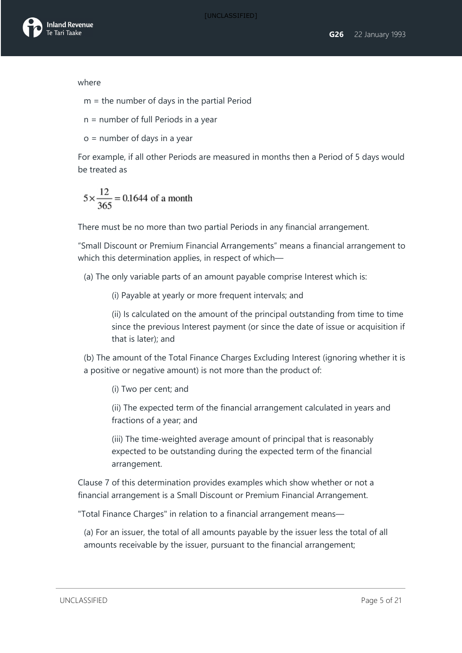

where

m = the number of days in the partial Period

n = number of full Periods in a year

o = number of days in a year

For example, if all other Periods are measured in months then a Period of 5 days would be treated as

$$
5 \times \frac{12}{365} = 0.1644
$$
 of a month

There must be no more than two partial Periods in any financial arrangement.

"Small Discount or Premium Financial Arrangements" means a financial arrangement to which this determination applies, in respect of which—

(a) The only variable parts of an amount payable comprise Interest which is:

(i) Payable at yearly or more frequent intervals; and

(ii) Is calculated on the amount of the principal outstanding from time to time since the previous Interest payment (or since the date of issue or acquisition if that is later); and

(b) The amount of the Total Finance Charges Excluding Interest (ignoring whether it is a positive or negative amount) is not more than the product of:

(i) Two per cent; and

(ii) The expected term of the financial arrangement calculated in years and fractions of a year; and

(iii) The time-weighted average amount of principal that is reasonably expected to be outstanding during the expected term of the financial arrangement.

Clause 7 of this determination provides examples which show whether or not a financial arrangement is a Small Discount or Premium Financial Arrangement.

"Total Finance Charges" in relation to a financial arrangement means—

(a) For an issuer, the total of all amounts payable by the issuer less the total of all amounts receivable by the issuer, pursuant to the financial arrangement;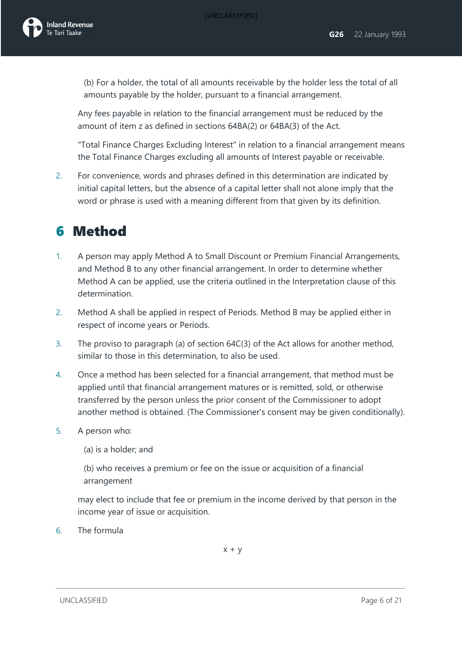(b) For a holder, the total of all amounts receivable by the holder less the total of all amounts payable by the holder, pursuant to a financial arrangement.

Any fees payable in relation to the financial arrangement must be reduced by the amount of item z as defined in sections 64BA(2) or 64BA(3) of the Act.

"Total Finance Charges Excluding Interest" in relation to a financial arrangement means the Total Finance Charges excluding all amounts of Interest payable or receivable.

2. For convenience, words and phrases defined in this determination are indicated by initial capital letters, but the absence of a capital letter shall not alone imply that the word or phrase is used with a meaning different from that given by its definition.

# 6 Method

- 1. A person may apply Method A to Small Discount or Premium Financial Arrangements, and Method B to any other financial arrangement. In order to determine whether Method A can be applied, use the criteria outlined in the Interpretation clause of this determination.
- 2. Method A shall be applied in respect of Periods. Method B may be applied either in respect of income years or Periods.
- 3. The proviso to paragraph (a) of section 64C(3) of the Act allows for another method, similar to those in this determination, to also be used.
- 4. Once a method has been selected for a financial arrangement, that method must be applied until that financial arrangement matures or is remitted, sold, or otherwise transferred by the person unless the prior consent of the Commissioner to adopt another method is obtained. (The Commissioner's consent may be given conditionally).
- 5. A person who:

(a) is a holder; and

(b) who receives a premium or fee on the issue or acquisition of a financial arrangement

may elect to include that fee or premium in the income derived by that person in the income year of issue or acquisition.

6. The formula

 $x + y$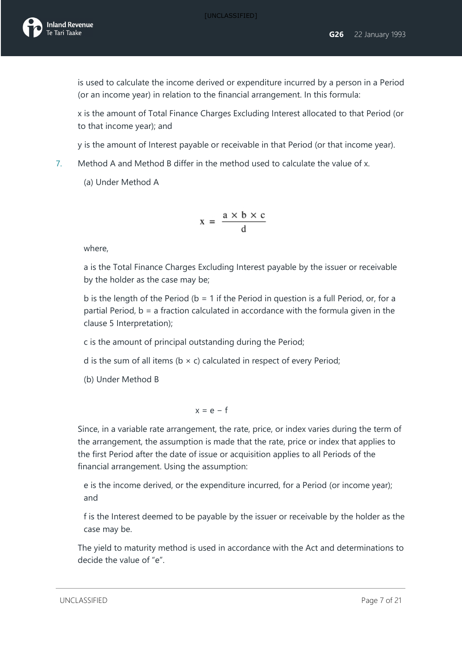is used to calculate the income derived or expenditure incurred by a person in a Period (or an income year) in relation to the financial arrangement. In this formula:

x is the amount of Total Finance Charges Excluding Interest allocated to that Period (or to that income year); and

y is the amount of Interest payable or receivable in that Period (or that income year).

- 7. Method A and Method B differ in the method used to calculate the value of x.
	- (a) Under Method A

$$
x = \frac{a \times b \times c}{d}
$$

where,

a is the Total Finance Charges Excluding Interest payable by the issuer or receivable by the holder as the case may be;

b is the length of the Period ( $b = 1$  if the Period in question is a full Period, or, for a partial Period, b = a fraction calculated in accordance with the formula given in the clause 5 Interpretation);

c is the amount of principal outstanding during the Period;

d is the sum of all items ( $b \times c$ ) calculated in respect of every Period;

(b) Under Method B

$$
x = e - f
$$

Since, in a variable rate arrangement, the rate, price, or index varies during the term of the arrangement, the assumption is made that the rate, price or index that applies to the first Period after the date of issue or acquisition applies to all Periods of the financial arrangement. Using the assumption:

e is the income derived, or the expenditure incurred, for a Period (or income year); and

f is the Interest deemed to be payable by the issuer or receivable by the holder as the case may be.

The yield to maturity method is used in accordance with the Act and determinations to decide the value of "e".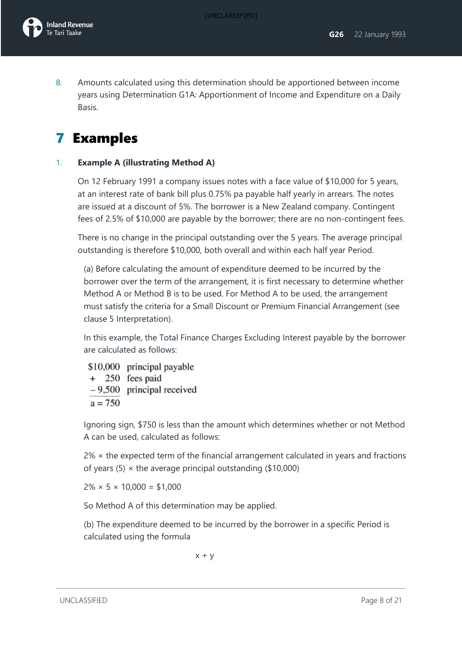8. Amounts calculated using this determination should be apportioned between income years using Determination G1A: Apportionment of Income and Expenditure on a Daily Basis.

# 7 Examples

### 1. **Example A (illustrating Method A)**

On 12 February 1991 a company issues notes with a face value of \$10,000 for 5 years, at an interest rate of bank bill plus 0.75% pa payable half yearly in arrears. The notes are issued at a discount of 5%. The borrower is a New Zealand company. Contingent fees of 2.5% of \$10,000 are payable by the borrower; there are no non-contingent fees.

There is no change in the principal outstanding over the 5 years. The average principal outstanding is therefore \$10,000, both overall and within each half year Period.

(a) Before calculating the amount of expenditure deemed to be incurred by the borrower over the term of the arrangement, it is first necessary to determine whether Method A or Method B is to be used. For Method A to be used, the arrangement must satisfy the criteria for a Small Discount or Premium Financial Arrangement (see clause 5 Interpretation).

In this example, the Total Finance Charges Excluding Interest payable by the borrower are calculated as follows:

\$10,000 principal payable + 250 fees paid  $-9,500$  principal received  $a = 750$ 

Ignoring sign, \$750 is less than the amount which determines whether or not Method A can be used, calculated as follows:

 $2\%$   $\times$  the expected term of the financial arrangement calculated in years and fractions of years (5)  $\times$  the average principal outstanding (\$10,000)

 $2\% \times 5 \times 10,000 = $1,000$ 

So Method A of this determination may be applied.

(b) The expenditure deemed to be incurred by the borrower in a specific Period is calculated using the formula

 $x + y$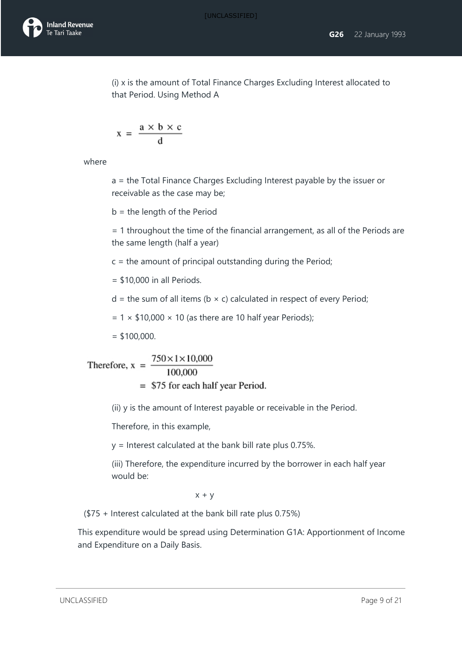(i) x is the amount of Total Finance Charges Excluding Interest allocated to that Period. Using Method A

$$
x = \frac{a \times b \times c}{d}
$$

where

a = the Total Finance Charges Excluding Interest payable by the issuer or receivable as the case may be;

b = the length of the Period

= 1 throughout the time of the financial arrangement, as all of the Periods are the same length (half a year)

 $c =$  the amount of principal outstanding during the Period;

- $=$  \$10,000 in all Periods.
- $d =$  the sum of all items (b  $\times$  c) calculated in respect of every Period;

 $= 1 \times $10,000 \times 10$  (as there are 10 half year Periods);

 $=$  \$100,000.

Therefore, 
$$
x = \frac{750 \times 1 \times 10,000}{100,000}
$$
  
= \$75 for each half year Period.

(ii) y is the amount of Interest payable or receivable in the Period.

Therefore, in this example,

y = Interest calculated at the bank bill rate plus 0.75%.

(iii) Therefore, the expenditure incurred by the borrower in each half year would be:

 $x + y$ 

(\$75 + Interest calculated at the bank bill rate plus 0.75%)

This expenditure would be spread using Determination G1A: Apportionment of Income and Expenditure on a Daily Basis.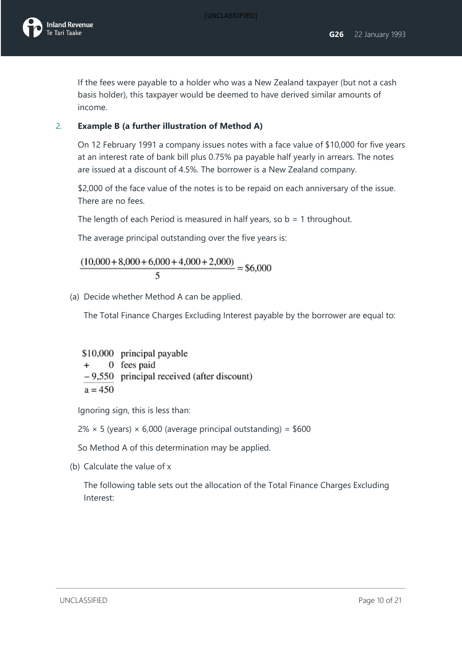

If the fees were payable to a holder who was a New Zealand taxpayer (but not a cash basis holder), this taxpayer would be deemed to have derived similar amounts of income.

### 2. **Example B (a further illustration of Method A)**

On 12 February 1991 a company issues notes with a face value of \$10,000 for five years at an interest rate of bank bill plus 0.75% pa payable half yearly in arrears. The notes are issued at a discount of 4.5%. The borrower is a New Zealand company.

\$2,000 of the face value of the notes is to be repaid on each anniversary of the issue. There are no fees.

The length of each Period is measured in half years, so  $b = 1$  throughout.

The average principal outstanding over the five years is:

 $\frac{(10,000+8,000+6,000+4,000+2,000)}{4} = $6,000$ 5

(a) Decide whether Method A can be applied.

The Total Finance Charges Excluding Interest payable by the borrower are equal to:

\$10,000 principal payable 0 fees paid  $+$  $-9,550$  principal received (after discount)  $a = 450$ 

Ignoring sign, this is less than:

 $2\% \times 5$  (years)  $\times$  6,000 (average principal outstanding) = \$600

So Method A of this determination may be applied.

(b) Calculate the value of x

The following table sets out the allocation of the Total Finance Charges Excluding Interest: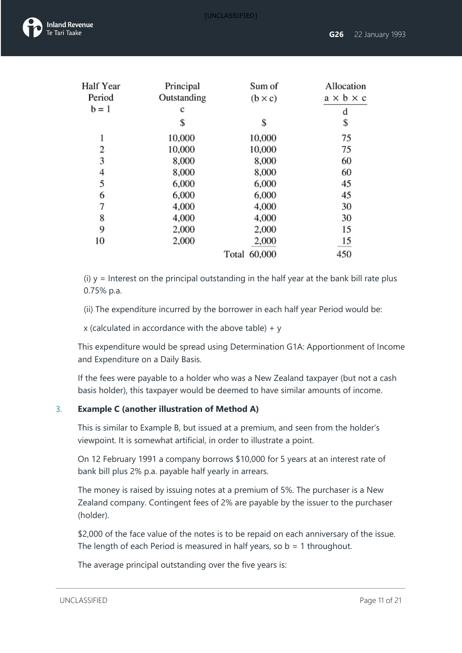

| Half Year | Principal   | Sum of          | Allocation            |
|-----------|-------------|-----------------|-----------------------|
| Period    | Outstanding | $(b \times c)$  | $a \times b \times c$ |
| $b = 1$   | c           |                 | d                     |
|           | \$          | \$              | \$                    |
| 1         | 10,000      | 10,000          | 75                    |
| 2         | 10,000      | 10,000          | 75                    |
| 3         | 8,000       | 8,000           | 60                    |
| 4         | 8,000       | 8,000           | 60                    |
| 5         | 6,000       | 6,000           | 45                    |
| 6         | 6,000       | 6,000           | 45                    |
| 7         | 4,000       | 4,000           | 30                    |
| 8         | 4,000       | 4,000           | 30                    |
| 9         | 2,000       | 2,000           | 15                    |
| 10        | 2,000       | 2,000           | $\frac{15}{2}$        |
|           |             | 60,000<br>Total | 450                   |

(i)  $y =$  Interest on the principal outstanding in the half year at the bank bill rate plus 0.75% p.a.

(ii) The expenditure incurred by the borrower in each half year Period would be:

x (calculated in accordance with the above table)  $+$  y

This expenditure would be spread using Determination G1A: Apportionment of Income and Expenditure on a Daily Basis.

If the fees were payable to a holder who was a New Zealand taxpayer (but not a cash basis holder), this taxpayer would be deemed to have similar amounts of income.

### 3. **Example C (another illustration of Method A)**

This is similar to Example B, but issued at a premium, and seen from the holder's viewpoint. It is somewhat artificial, in order to illustrate a point.

On 12 February 1991 a company borrows \$10,000 for 5 years at an interest rate of bank bill plus 2% p.a. payable half yearly in arrears.

The money is raised by issuing notes at a premium of 5%. The purchaser is a New Zealand company. Contingent fees of 2% are payable by the issuer to the purchaser (holder).

\$2,000 of the face value of the notes is to be repaid on each anniversary of the issue. The length of each Period is measured in half years, so  $b = 1$  throughout.

The average principal outstanding over the five years is: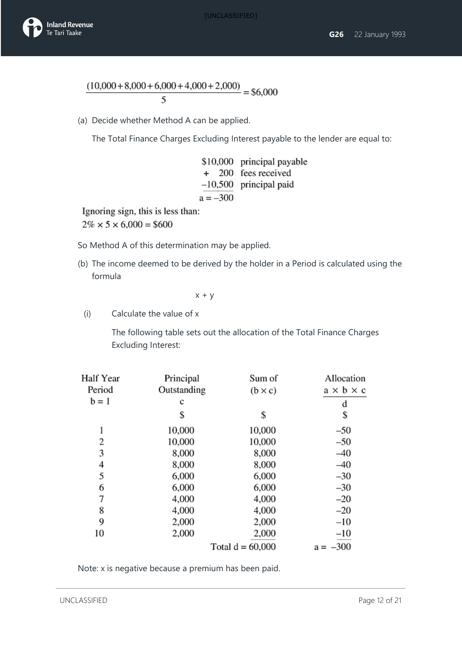



$$
\frac{(10,000+8,000+6,000+4,000+2,000)}{5} = $6,000
$$

(a) Decide whether Method A can be applied.

The Total Finance Charges Excluding Interest payable to the lender are equal to:

|            | \$10,000 principal payable |
|------------|----------------------------|
|            | + 200 fees received        |
|            | $-10,500$ principal paid   |
| $a = -300$ |                            |

Ignoring sign, this is less than:

 $2\% \times 5 \times 6,000 = $600$ 

So Method A of this determination may be applied.

(b) The income deemed to be derived by the holder in a Period is calculated using the formula

 $x + y$ 

(i) Calculate the value of x

The following table sets out the allocation of the Total Finance Charges Excluding Interest:

| Half Year | Principal   | Sum of             | Allocation            |
|-----------|-------------|--------------------|-----------------------|
| Period    | Outstanding | $(b \times c)$     | $a \times b \times c$ |
| $b = 1$   | c           |                    | d                     |
|           | \$          | \$                 | \$                    |
| 1         | 10,000      | 10,000             | $-50$                 |
| 2         | 10,000      | 10,000             | $-50$                 |
| 3         | 8,000       | 8,000              | $-40$                 |
| 4         | 8,000       | 8,000              | $-40$                 |
| 5         | 6,000       | 6,000              | $-30$                 |
| 6         | 6,000       | 6,000              | $-30$                 |
| 7         | 4,000       | 4,000              | $-20$                 |
| 8         | 4,000       | 4,000              | $-20$                 |
| 9         | 2,000       | 2,000              | $-10$                 |
| 10        | 2,000       | 2,000              | $-10$                 |
|           |             | Total $d = 60,000$ | $-300$<br>$a =$       |

Note: x is negative because a premium has been paid.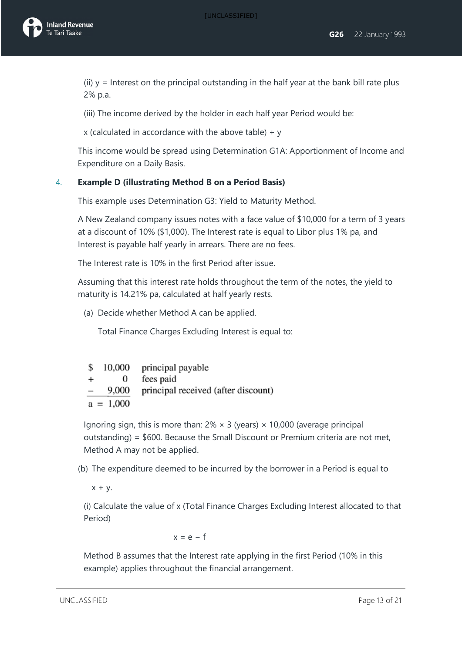(ii)  $y =$  Interest on the principal outstanding in the half year at the bank bill rate plus 2% p.a.

(iii) The income derived by the holder in each half year Period would be:

x (calculated in accordance with the above table)  $+ v$ 

This income would be spread using Determination G1A: Apportionment of Income and Expenditure on a Daily Basis.

### 4. **Example D (illustrating Method B on a Period Basis)**

This example uses Determination G3: Yield to Maturity Method.

A New Zealand company issues notes with a face value of \$10,000 for a term of 3 years at a discount of 10% (\$1,000). The Interest rate is equal to Libor plus 1% pa, and Interest is payable half yearly in arrears. There are no fees.

The Interest rate is 10% in the first Period after issue.

Assuming that this interest rate holds throughout the term of the notes, the yield to maturity is 14.21% pa, calculated at half yearly rests.

(a) Decide whether Method A can be applied.

Total Finance Charges Excluding Interest is equal to:

| S                        | 10,000      | principal payable                   |
|--------------------------|-------------|-------------------------------------|
| $+$                      | $^{(1)}$    | fees paid                           |
| $\overline{\phantom{0}}$ | 9,000       | principal received (after discount) |
|                          | $a = 1,000$ |                                     |

Ignoring sign, this is more than:  $2\% \times 3$  (years)  $\times$  10,000 (average principal outstanding) = \$600. Because the Small Discount or Premium criteria are not met, Method A may not be applied.

(b) The expenditure deemed to be incurred by the borrower in a Period is equal to

 $x + y$ .

(i) Calculate the value of x (Total Finance Charges Excluding Interest allocated to that Period)

 $x = e - f$ 

Method B assumes that the Interest rate applying in the first Period (10% in this example) applies throughout the financial arrangement.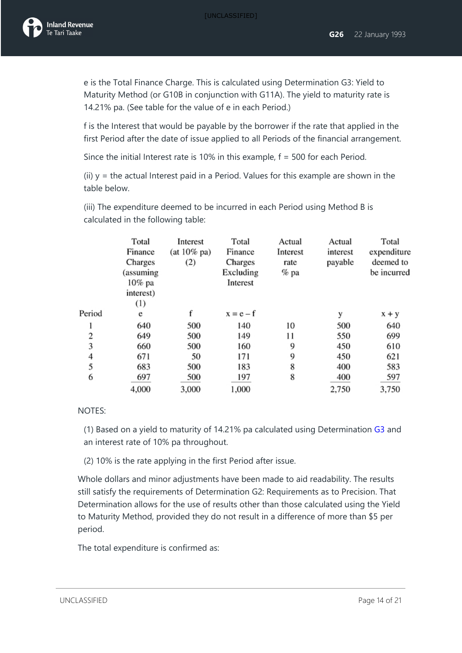

e is the Total Finance Charge. This is calculated using Determination G3: Yield to Maturity Method (or G10B in conjunction with G11A). The yield to maturity rate is 14.21% pa. (See table for the value of e in each Period.)

f is the Interest that would be payable by the borrower if the rate that applied in the first Period after the date of issue applied to all Periods of the financial arrangement.

Since the initial Interest rate is 10% in this example, f = 500 for each Period.

(ii)  $y =$  the actual Interest paid in a Period. Values for this example are shown in the table below.

(iii) The expenditure deemed to be incurred in each Period using Method B is calculated in the following table:

|        | Total<br>Finance | Interest<br>$(at 10\%$ pa) | Total<br>Finance | Actual<br>Interest | Actual<br>interest | Total<br>expenditure |
|--------|------------------|----------------------------|------------------|--------------------|--------------------|----------------------|
|        | Charges          | (2)                        | Charges          | rate               | payable            | deemed to            |
|        | (assuming        |                            | Excluding        | % pa               |                    | be incurred          |
|        | 10% pa           |                            | Interest         |                    |                    |                      |
|        | interest)        |                            |                  |                    |                    |                      |
|        | (1)              |                            |                  |                    |                    |                      |
| Period | e                |                            | $x = e - f$      |                    | у                  | $x + y$              |
| 1      | 640              | 500                        | 140              | 10                 | 500                | 640                  |
| 2      | 649              | 500                        | 149              | 11                 | 550                | 699                  |
| 3      | 660              | 500                        | 160              | 9                  | 450                | 610                  |
| 4      | 671              | 50                         | 171              | 9                  | 450                | 621                  |
| 5      | 683              | 500                        | 183              | 8                  | 400                | 583                  |
| 6      | 697              | 500                        | 197              | 8                  | 400                | 597                  |
|        | 4,000            | 3,000                      | 1,000            |                    | 2.750              | 3,750                |

#### NOTES:

(1) Based on a yield to maturity of 14.21% pa calculated using Determination [G3](javascript:void(0)) and an interest rate of 10% pa throughout.

(2) 10% is the rate applying in the first Period after issue.

Whole dollars and minor adjustments have been made to aid readability. The results still satisfy the requirements of Determination G2: Requirements as to Precision. That Determination allows for the use of results other than those calculated using the Yield to Maturity Method, provided they do not result in a difference of more than \$5 per period.

The total expenditure is confirmed as: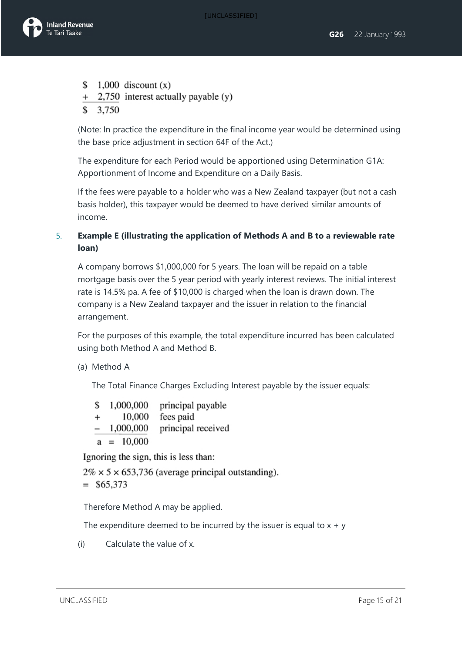

- \$ 1,000 discount  $(x)$
- + 2,750 interest actually payable (y)
- $$3,750$

(Note: In practice the expenditure in the final income year would be determined using the base price adjustment in section 64F of the Act.)

The expenditure for each Period would be apportioned using Determination G1A: Apportionment of Income and Expenditure on a Daily Basis.

If the fees were payable to a holder who was a New Zealand taxpayer (but not a cash basis holder), this taxpayer would be deemed to have derived similar amounts of income.

### 5. **Example E (illustrating the application of Methods A and B to a reviewable rate loan)**

A company borrows \$1,000,000 for 5 years. The loan will be repaid on a table mortgage basis over the 5 year period with yearly interest reviews. The initial interest rate is 14.5% pa. A fee of \$10,000 is charged when the loan is drawn down. The company is a New Zealand taxpayer and the issuer in relation to the financial arrangement.

For the purposes of this example, the total expenditure incurred has been calculated using both Method A and Method B.

### (a) Method A

The Total Finance Charges Excluding Interest payable by the issuer equals:

| \$              | 1,000,000    | principal payable  |
|-----------------|--------------|--------------------|
| $+$             | 10,000       | fees paid          |
| $\qquad \qquad$ | 1,000,000    | principal received |
|                 | $a = 10,000$ |                    |

Ignoring the sign, this is less than:

 $2\% \times 5 \times 653,736$  (average principal outstanding).  $=$  \$65,373

Therefore Method A may be applied.

The expenditure deemed to be incurred by the issuer is equal to  $x + y$ 

(i) Calculate the value of x.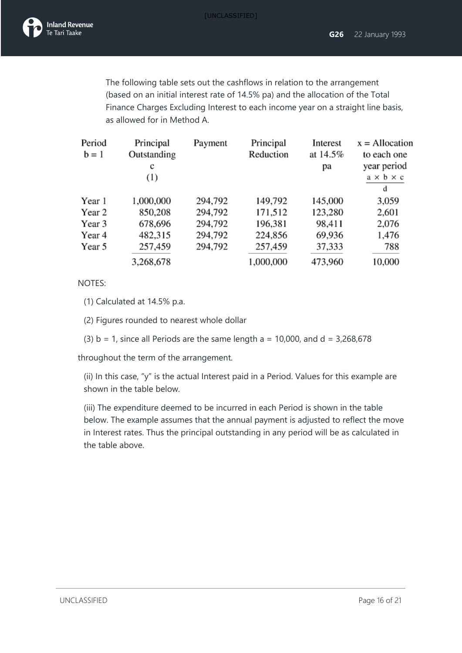

The following table sets out the cashflows in relation to the arrangement (based on an initial interest rate of 14.5% pa) and the allocation of the Total Finance Charges Excluding Interest to each income year on a straight line basis, as allowed for in Method A.

| Period<br>$b = 1$ | Principal<br>Outstanding<br>с<br>(1) | Payment | Principal<br>Reduction | Interest<br>at 14.5%<br>pа | $x =$ Allocation<br>to each one<br>year period<br>$a \times b \times c$ |
|-------------------|--------------------------------------|---------|------------------------|----------------------------|-------------------------------------------------------------------------|
|                   |                                      |         |                        |                            | d                                                                       |
| Year 1            | 1,000,000                            | 294,792 | 149,792                | 145,000                    | 3,059                                                                   |
| Year 2            | 850,208                              | 294,792 | 171,512                | 123,280                    | 2,601                                                                   |
| Year 3            | 678,696                              | 294,792 | 196,381                | 98,411                     | 2,076                                                                   |
| Year 4            | 482,315                              | 294,792 | 224,856                | 69,936                     | 1,476                                                                   |
| Year 5            | 257,459                              | 294,792 | 257,459                | 37,333                     | 788                                                                     |
|                   | 3,268,678                            |         | 1,000,000              | 473,960                    | 10,000                                                                  |

#### NOTES:

(1) Calculated at 14.5% p.a.

(2) Figures rounded to nearest whole dollar

(3)  $b = 1$ , since all Periods are the same length  $a = 10,000$ , and  $d = 3,268,678$ 

throughout the term of the arrangement.

(ii) In this case, "y" is the actual Interest paid in a Period. Values for this example are shown in the table below.

(iii) The expenditure deemed to be incurred in each Period is shown in the table below. The example assumes that the annual payment is adjusted to reflect the move in Interest rates. Thus the principal outstanding in any period will be as calculated in the table above.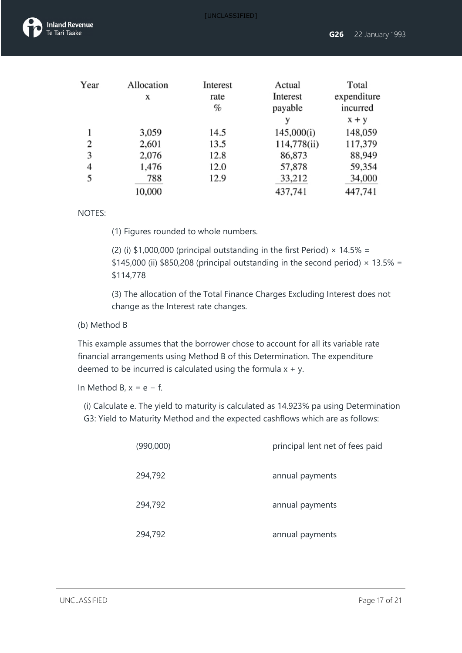

| Year | Allocation<br>x | Interest<br>rate<br>% | Actual<br>Interest<br>payable | Total<br>expenditure<br>incurred |
|------|-----------------|-----------------------|-------------------------------|----------------------------------|
|      |                 |                       | v                             | $x + y$                          |
|      | 3,059           | 14.5                  | 145,000(i)                    | 148,059                          |
| 2    | 2,601           | 13.5                  | 114,778(ii)                   | 117,379                          |
| 3    | 2,076           | 12.8                  | 86,873                        | 88,949                           |
| 4    | 1,476           | 12.0                  | 57,878                        | 59,354                           |
| 5    | 788             | 12.9                  | 33,212                        | 34,000                           |
|      | 10,000          |                       | 437,741                       | 447,741                          |

#### NOTES:

(1) Figures rounded to whole numbers.

(2) (i) \$1,000,000 (principal outstanding in the first Period)  $\times$  14.5% = \$145,000 (ii) \$850,208 (principal outstanding in the second period)  $\times$  13.5% = \$114,778

(3) The allocation of the Total Finance Charges Excluding Interest does not change as the Interest rate changes.

### (b) Method B

This example assumes that the borrower chose to account for all its variable rate financial arrangements using Method B of this Determination. The expenditure deemed to be incurred is calculated using the formula  $x + y$ .

In Method B,  $x = e - f$ .

(i) Calculate e. The yield to maturity is calculated as 14.923% pa using Determination G3: Yield to Maturity Method and the expected cashflows which are as follows:

| (990,000) | principal lent net of fees paid |
|-----------|---------------------------------|
| 294,792   | annual payments                 |
| 294,792   | annual payments                 |
| 294,792   | annual payments                 |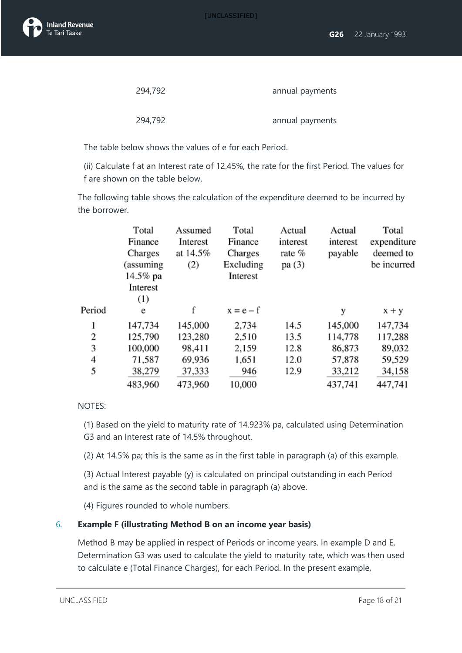

| 294,792 | annual payments |
|---------|-----------------|
|         |                 |
| 294,792 | annual payments |

The table below shows the values of e for each Period.

(ii) Calculate f at an Interest rate of 12.45%, the rate for the first Period. The values for f are shown on the table below.

The following table shows the calculation of the expenditure deemed to be incurred by the borrower.

| Total     | Assumed  | Total       | Actual   | Actual   | Total       |
|-----------|----------|-------------|----------|----------|-------------|
| Finance   | Interest | Finance     | interest | interest | expenditure |
| Charges   | at 14.5% | Charges     | rate %   | payable  | deemed to   |
| (assuming | (2)      | Excluding   | pa (3)   |          | be incurred |
| 14.5% pa  |          | Interest    |          |          |             |
| Interest  |          |             |          |          |             |
| (1)       |          |             |          |          |             |
| e         | f        | $x = e - f$ |          | у        | $x + y$     |
| 147,734   | 145,000  | 2,734       | 14.5     | 145,000  | 147,734     |
| 125,790   | 123,280  | 2,510       | 13.5     | 114,778  | 117,288     |
| 100,000   | 98,411   | 2,159       | 12.8     | 86,873   | 89,032      |
| 71,587    | 69,936   | 1,651       | 12.0     | 57,878   | 59,529      |
| 38,279    | 37,333   | 946         | 12.9     | 33,212   | 34,158      |
| 483,960   | 473,960  | 10,000      |          | 437,741  | 447,741     |
|           |          |             |          |          |             |

#### NOTES:

(1) Based on the yield to maturity rate of 14.923% pa, calculated using Determination G3 and an Interest rate of 14.5% throughout.

(2) At 14.5% pa; this is the same as in the first table in paragraph (a) of this example.

(3) Actual Interest payable (y) is calculated on principal outstanding in each Period and is the same as the second table in paragraph (a) above.

(4) Figures rounded to whole numbers.

#### 6. **Example F (illustrating Method B on an income year basis)**

Method B may be applied in respect of Periods or income years. In example D and E, Determination G3 was used to calculate the yield to maturity rate, which was then used to calculate e (Total Finance Charges), for each Period. In the present example,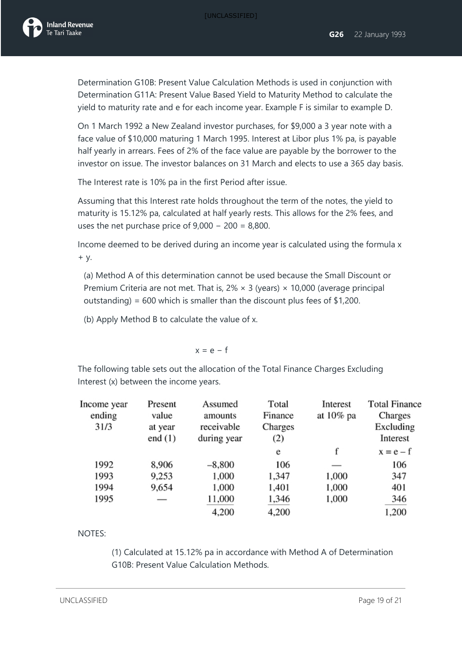Determination G10B: Present Value Calculation Methods is used in conjunction with Determination G11A: Present Value Based Yield to Maturity Method to calculate the yield to maturity rate and e for each income year. Example F is similar to example D.

On 1 March 1992 a New Zealand investor purchases, for \$9,000 a 3 year note with a face value of \$10,000 maturing 1 March 1995. Interest at Libor plus 1% pa, is payable half yearly in arrears. Fees of 2% of the face value are payable by the borrower to the investor on issue. The investor balances on 31 March and elects to use a 365 day basis.

The Interest rate is 10% pa in the first Period after issue.

Assuming that this Interest rate holds throughout the term of the notes, the yield to maturity is 15.12% pa, calculated at half yearly rests. This allows for the 2% fees, and uses the net purchase price of  $9,000 - 200 = 8,800$ .

Income deemed to be derived during an income year is calculated using the formula x + y.

(a) Method A of this determination cannot be used because the Small Discount or Premium Criteria are not met. That is,  $2\% \times 3$  (years)  $\times$  10,000 (average principal outstanding) = 600 which is smaller than the discount plus fees of \$1,200.

(b) Apply Method B to calculate the value of x.

$$
x = e - f
$$

The following table sets out the allocation of the Total Finance Charges Excluding Interest (x) between the income years.

| Income year<br>ending | Present<br>value     | Assumed<br>amounts        | Total<br>Finance | Interest<br>at 10% pa | <b>Total Finance</b><br>Charges |
|-----------------------|----------------------|---------------------------|------------------|-----------------------|---------------------------------|
| 31/3                  | at year<br>end $(1)$ | receivable<br>during year | Charges<br>(2)   |                       | Excluding<br>Interest           |
|                       |                      |                           | e                | f                     | $x = e - f$                     |
| 1992                  | 8,906                | $-8,800$                  | 106              |                       | 106                             |
| 1993                  | 9,253                | 1,000                     | 1,347            | 1,000                 | 347                             |
| 1994                  | 9,654                | 1,000                     | 1,401            | 1,000                 | 401                             |
| 1995                  |                      | 11,000                    | 1,346            | 1,000                 | 346                             |
|                       |                      | 4,200                     | 4,200            |                       | 1,200                           |

NOTES:

(1) Calculated at 15.12% pa in accordance with Method A of Determination G10B: Present Value Calculation Methods.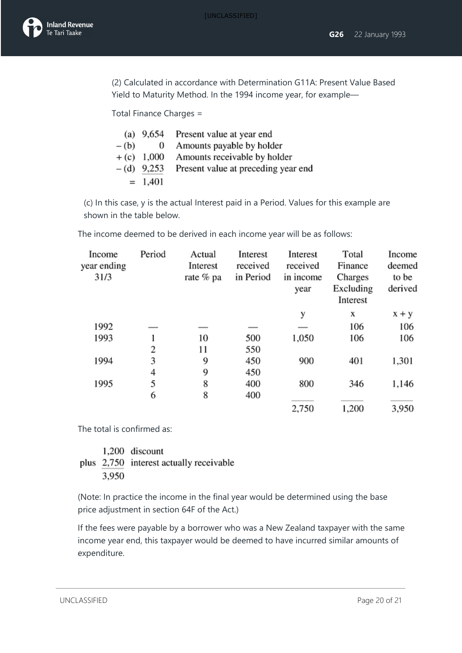(2) Calculated in accordance with Determination G11A: Present Value Based Yield to Maturity Method. In the 1994 income year, for example—

Total Finance Charges =

|        |              | (a) 9,654 Present value at year end |
|--------|--------------|-------------------------------------|
| $-(b)$ | $\bf{0}$     | Amounts payable by holder           |
|        | $+(c)$ 1,000 | Amounts receivable by holder        |
|        | $-(d)$ 9,253 | Present value at preceding year end |
|        | $= 1,401$    |                                     |

(c) In this case, y is the actual Interest paid in a Period. Values for this example are shown in the table below.

The income deemed to be derived in each income year will be as follows:

| Income<br>year ending<br>31/3 | Period | Actual<br>Interest<br>rate % pa | Interest<br>received<br>in Period | Interest<br>received<br>in income<br>year | Total<br>Finance<br>Charges<br>Excluding<br>Interest | Income<br>deemed<br>to be<br>derived |
|-------------------------------|--------|---------------------------------|-----------------------------------|-------------------------------------------|------------------------------------------------------|--------------------------------------|
|                               |        |                                 |                                   | у                                         | X                                                    | $x + y$                              |
| 1992                          |        |                                 |                                   |                                           | 106                                                  | 106                                  |
| 1993                          |        | 10                              | 500                               | 1,050                                     | 106                                                  | 106                                  |
|                               | 2      | 11                              | 550                               |                                           |                                                      |                                      |
| 1994                          | 3      | 9                               | 450                               | 900                                       | 401                                                  | 1,301                                |
|                               | 4      | 9                               | 450                               |                                           |                                                      |                                      |
| 1995                          | 5      | 8                               | 400                               | 800                                       | 346                                                  | 1,146                                |
|                               | 6      | 8                               | 400                               |                                           |                                                      |                                      |
|                               |        |                                 |                                   | 2,750                                     | 1,200                                                | 3,950                                |

The total is confirmed as:

### 1,200 discount plus 2,750 interest actually receivable 3,950

(Note: In practice the income in the final year would be determined using the base price adjustment in section 64F of the Act.)

If the fees were payable by a borrower who was a New Zealand taxpayer with the same income year end, this taxpayer would be deemed to have incurred similar amounts of expenditure.